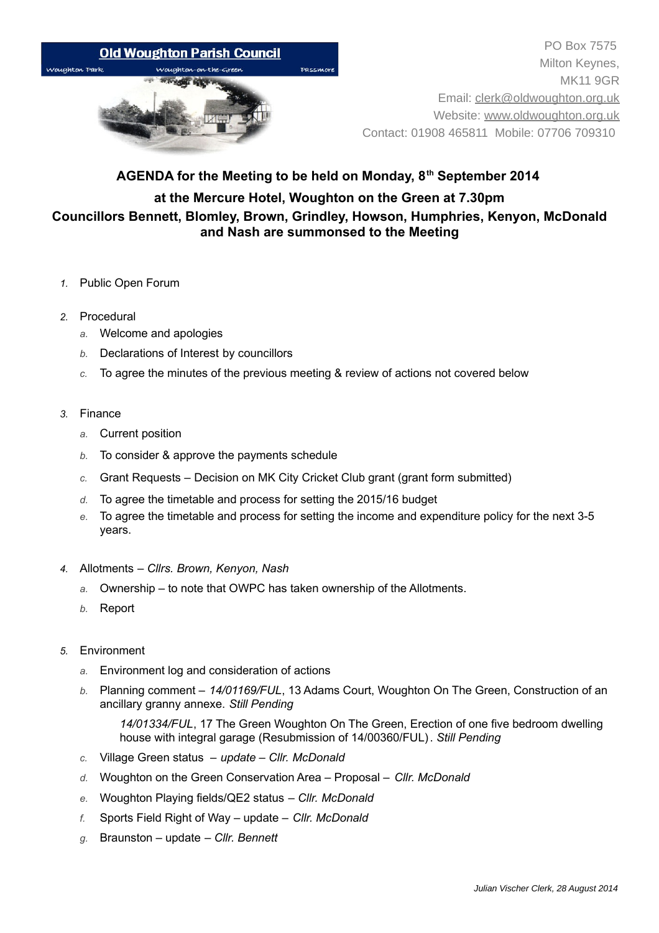

## **AGENDA for the Meeting to be held on Monday, 8th September 2014 at the Mercure Hotel, Woughton on the Green at 7.30pm Councillors Bennett, Blomley, Brown, Grindley, Howson, Humphries, Kenyon, McDonald and Nash are summonsed to the Meeting**

- *1.* Public Open Forum
- *2.* Procedural
	- *a.* Welcome and apologies
	- *b.* Declarations of Interest by councillors
	- *c.* To agree the minutes of the previous meeting & review of actions not covered below
- *3.* Finance
	- *a.* Current position
	- *b.* To consider & approve the payments schedule
	- *c.* Grant Requests Decision on MK City Cricket Club grant (grant form submitted)
	- *d.* To agree the timetable and process for setting the 2015/16 budget
	- *e.* To agree the timetable and process for setting the income and expenditure policy for the next 3-5 years.
- *4.* Allotments  *Cllrs. Brown, Kenyon, Nash*
	- *a.* Ownership to note that OWPC has taken ownership of the Allotments.
	- *b.* Report
- *5.* Environment
	- *a.* Environment log and consideration of actions
	- *b.* Planning comment *14/01169/FUL*, 13 Adams Court, Woughton On The Green, Construction of an ancillary granny annexe. *Still Pending*

*14/01334/FUL*, 17 The Green Woughton On The Green, Erection of one five bedroom dwelling house with integral garage (Resubmission of 14/00360/FUL). *Still Pending*

- *c.* Village Green status *update Cllr. McDonald*
- *d.* Woughton on the Green Conservation Area Proposal – *Cllr. McDonald*
- *e.* Woughton Playing fields/QE2 status *Cllr. McDonald*
- *f.* Sports Field Right of Way update – *Cllr. McDonald*
- *g.* Braunston update  *Cllr. Bennett*